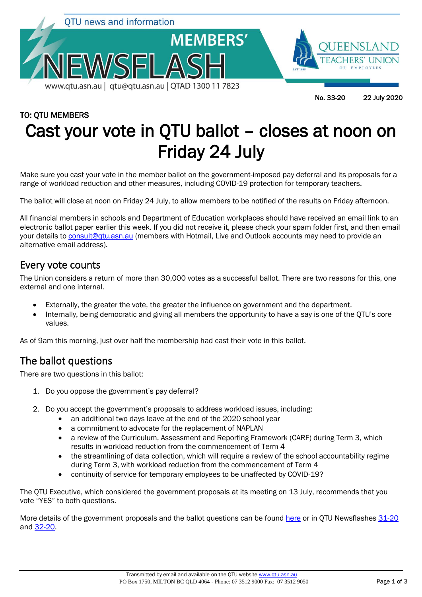

# TO: QTU MEMBERS Cast your vote in QTU ballot – closes at noon on Friday 24 July

Make sure you cast your vote in the member ballot on the government-imposed pay deferral and its proposals for a range of workload reduction and other measures, including COVID-19 protection for temporary teachers.

The ballot will close at noon on Friday 24 July, to allow members to be notified of the results on Friday afternoon.

All financial members in schools and Department of Education workplaces should have received an email link to an electronic ballot paper earlier this week. If you did not receive it, please check your spam folder first, and then email your details to **consult@qtu.asn.au** (members with Hotmail, Live and Outlook accounts may need to provide an alternative email address).

### Every vote counts

The Union considers a return of more than 30,000 votes as a successful ballot. There are two reasons for this, one external and one internal.

- Externally, the greater the vote, the greater the influence on government and the department.
- Internally, being democratic and giving all members the opportunity to have a say is one of the QTU's core values.

As of 9am this morning, just over half the membership had cast their vote in this ballot.

## The ballot questions

There are two questions in this ballot:

- 1. Do you oppose the government's pay deferral?
- 2. Do you accept the government's proposals to address workload issues, including:
	- an additional two days leave at the end of the 2020 school year
	- a commitment to advocate for the replacement of NAPLAN
	- a review of the Curriculum, Assessment and Reporting Framework (CARF) during Term 3, which results in workload reduction from the commencement of Term 4
	- the streamlining of data collection, which will require a review of the school accountability regime during Term 3, with workload reduction from the commencement of Term 4
	- continuity of service for temporary employees to be unaffected by COVID-19?

The QTU Executive, which considered the government proposals at its meeting on 13 July, recommends that you vote "YES" to both questions.

More details of the government proposals and the ballot questions can be found [here](https://www.qtu.asn.au/paydeferral) or in QTU Newsflashes [31-20](https://www.qtu.asn.au/nflash3120) and [32-20.](https://www.qtu.asn.au/nflash-3220)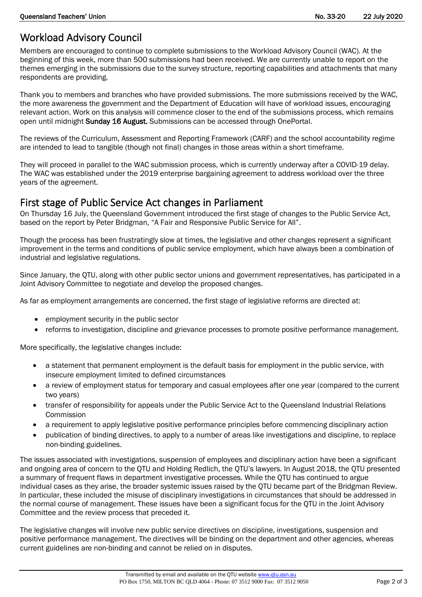# Workload Advisory Council

Members are encouraged to continue to complete submissions to the Workload Advisory Council (WAC). At the beginning of this week, more than 500 submissions had been received. We are currently unable to report on the themes emerging in the submissions due to the survey structure, reporting capabilities and attachments that many respondents are providing.

Thank you to members and branches who have provided submissions. The more submissions received by the WAC, the more awareness the government and the Department of Education will have of workload issues, encouraging relevant action. Work on this analysis will commence closer to the end of the submissions process, which remains open until midnight Sunday 16 August. Submissions can be accessed through OnePortal.

The reviews of the Curriculum, Assessment and Reporting Framework (CARF) and the school accountability regime are intended to lead to tangible (though not final) changes in those areas within a short timeframe.

They will proceed in parallel to the WAC submission process, which is currently underway after a COVID-19 delay. The WAC was established under the 2019 enterprise bargaining agreement to address workload over the three years of the agreement.

#### First stage of Public Service Act changes in Parliament

On Thursday 16 July, the Queensland Government introduced the first stage of changes to the Public Service Act, based on the report by Peter Bridgman, "A Fair and Responsive Public Service for All".

Though the process has been frustratingly slow at times, the legislative and other changes represent a significant improvement in the terms and conditions of public service employment, which have always been a combination of industrial and legislative regulations.

Since January, the QTU, along with other public sector unions and government representatives, has participated in a Joint Advisory Committee to negotiate and develop the proposed changes.

As far as employment arrangements are concerned, the first stage of legislative reforms are directed at:

- employment security in the public sector
- reforms to investigation, discipline and grievance processes to promote positive performance management.

More specifically, the legislative changes include:

- a statement that permanent employment is the default basis for employment in the public service, with insecure employment limited to defined circumstances
- a review of employment status for temporary and casual employees after one year (compared to the current two years)
- transfer of responsibility for appeals under the Public Service Act to the Queensland Industrial Relations Commission
- a requirement to apply legislative positive performance principles before commencing disciplinary action
- publication of binding directives, to apply to a number of areas like investigations and discipline, to replace non-binding guidelines.

The issues associated with investigations, suspension of employees and disciplinary action have been a significant and ongoing area of concern to the QTU and Holding Redlich, the QTU's lawyers. In August 2018, the QTU presented a summary of frequent flaws in department investigative processes. While the QTU has continued to argue individual cases as they arise, the broader systemic issues raised by the QTU became part of the Bridgman Review. In particular, these included the misuse of disciplinary investigations in circumstances that should be addressed in the normal course of management. These issues have been a significant focus for the QTU in the Joint Advisory Committee and the review process that preceded it.

The legislative changes will involve new public service directives on discipline, investigations, suspension and positive performance management. The directives will be binding on the department and other agencies, whereas current guidelines are non-binding and cannot be relied on in disputes.